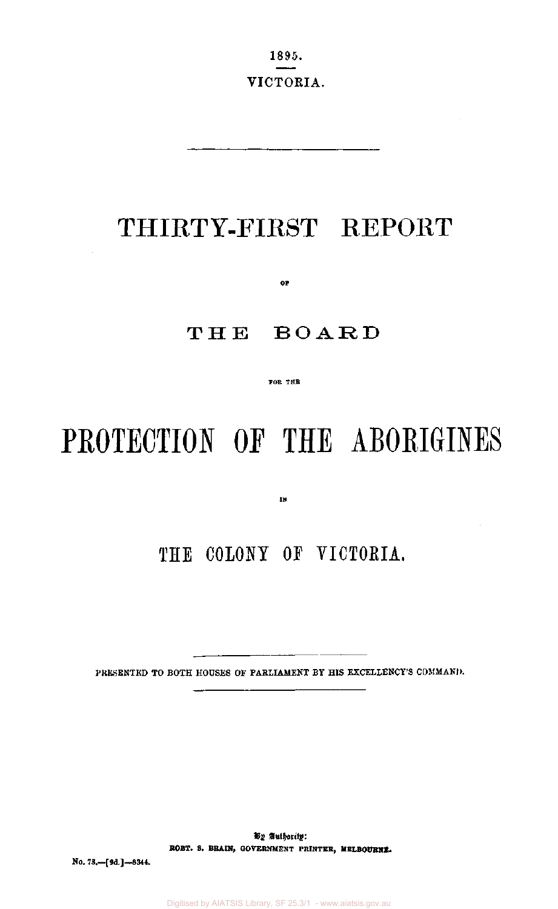1895. VICTORIA.

# THIRTY-FIRST REPORT

**OF** 

# THE BOARD

**FOR THE** 

# PROTECTION OF THE ABORIGINES

**IN** 

# THE COLONY OF VICTORIA.

PRESENTED TO BOTH HOUSES OF PARLIAMENT BY HIS EXCELLENCY'S COMMAND.

By Authority: **ROBT. S. BRAIN,** GOVERNMENT PRINTER, **MELBOURNE.** 

**No.** 78.—[9d.]—8344.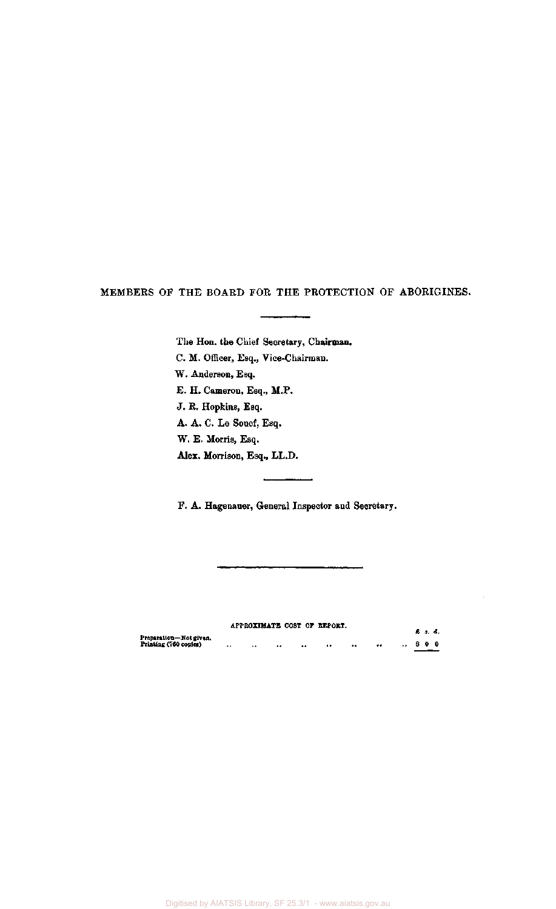MEMBERS OF THE BOARD FOR THE PROTECTION OF ABORIGINES.

The Hon. the Chief Secretary, Chairman. C. M. Officer, Esq., Vice-Chairman. W. Anderson, Esq. E. H. Cameron, Esq., M.P. J. R. Hopkins, Esq. A. A. C. Le Souef, Esq. W. E. Morris, Esq. **Alex.** Morrison, Esq., LL.D.

F. A. Hagenauer, General Inspector and Secretary.

|                                                 |               |                      |                                            | APPROXIMATE COST OF REPORT. |            |         | £ 3. d. |  |
|-------------------------------------------------|---------------|----------------------|--------------------------------------------|-----------------------------|------------|---------|---------|--|
| Preparation—Not given,<br>Printing (760 copies) | $\sim$ $\sim$ | $\ddot{\phantom{0}}$ | <br>$^{\tiny{\text{+}}\, \tiny{\text{+}}}$ |                             | $^{\circ}$ | <br>800 |         |  |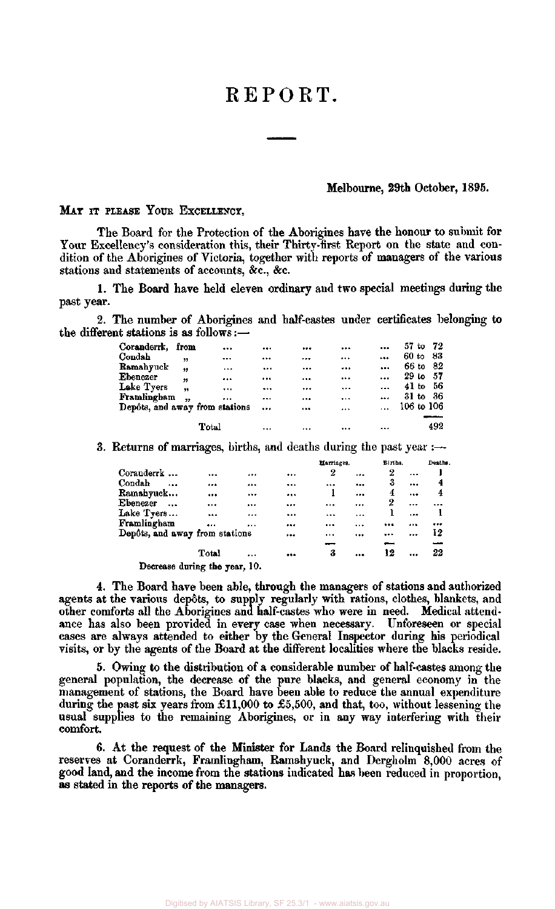# REPORT.

#### Melbourne, 29th October, 1895.

## MAY IT PLEASE YOUR EXCELLENCY,

The Board for the Protection of the Aborigines have the honour to submit for Your Excellency's consideration this, their Thirty-first Report on the state and condition of the Aborigines of Victoria, together with reports of managers of the various stations and statements of accounts, &c, &c.

1. The Board have held eleven ordinary and two special meetings during the past year.

2. The number of Aborigines and half-castes under certificates belonging to the different stations is as follows:—

| Coranderrk, from               |                      |          |           | <br>         | $\cdots$  | $57$ to $72$    |
|--------------------------------|----------------------|----------|-----------|--------------|-----------|-----------------|
| Condah                         | ,,                   |          |           | <br>         |           | -83<br>$60$ to  |
| Ramahyuck                      | ,,                   | $\cdots$ | $\cdots$  | <br>$\cdots$ | $\cdots$  | 66 to<br>- 82   |
| Ebenezer                       | ,,                   |          |           | <br>$\cdots$ |           | $29$ to<br>- 57 |
| Lake Tyers                     | ,                    | $\cdots$ |           | <br>         | $\ddotsc$ | - 56<br>$41$ to |
| Framlingham                    | $\ddot{\phantom{1}}$ |          |           | <br>$\cdots$ |           | - 36<br>$31$ to |
| Depôts, and away from stations |                      |          | $\ddotsc$ | <br>$\cdots$ |           | $106$ to $106$  |
|                                |                      |          |           |              |           |                 |
|                                |                      | Total    | $\ddotsc$ | <br>         |           | 492             |

3. Returns of marriages, births, and deaths during the past year  $:$ 

|                                |       |              | Marriages. | Births. |           | Deaths.   |  |  |
|--------------------------------|-------|--------------|------------|---------|-----------|-----------|--|--|
| Coranderrk                     |       | <br>         | 2          | <br>2   | $\ddotsc$ |           |  |  |
| Condah<br>                     |       | <br>$\cdots$ | $\ddotsc$  | <br>3   |           | 4         |  |  |
| Ramahyuck                      |       | <br>         |            | <br>4   |           | 4         |  |  |
| Ebenezer<br>$\ddotsc$          |       | <br>         |            | <br>2   |           | $\ddotsc$ |  |  |
| Lake Tyers                     | $***$ | <br>         |            |         |           |           |  |  |
| Framlingham                    |       | <br>         |            | <br>    |           |           |  |  |
| Depôts, and away from stations |       |              |            | <br>    |           | 12        |  |  |
|                                |       |              |            |         |           | سب        |  |  |
|                                | Total | <br>         | 3          | <br>12  |           | 22        |  |  |
| Decrease during the year, 10.  |       |              |            |         |           |           |  |  |

4. The Board have been able, through the managers of stations and authorized agents at the various dep6ts, to supply regularly with rations, clothes, blankets, and other comforts all the Aborigines and half-castes who were in need. Medical attendance has also been provided in every case when necessary. Unforeseen or special cases are always attended to either by the General Inspector during his periodical visits, or by the agents of the Board at the different localities where the blacks reside.

5. Owing to the distribution of a considerable number of half-castes among the general population, the decrease of the pure blacks, and general economy in the management of stations, the Board have been able to reduce the annual expenditure during the past six years from £11,000 to £5,500, and that, too, without lessening the usual supplies to the remaining Aborigines, or in any way interfering with their comfort.

6. At the request of the Minister for Lands the Board relinquished from the reserves at Coranderrk, Framlingham, Ramahyuck, and Dergholm 8,000 acres of good land, and the income from the stations indicated has been reduced in proportion, as stated in the reports of the managers.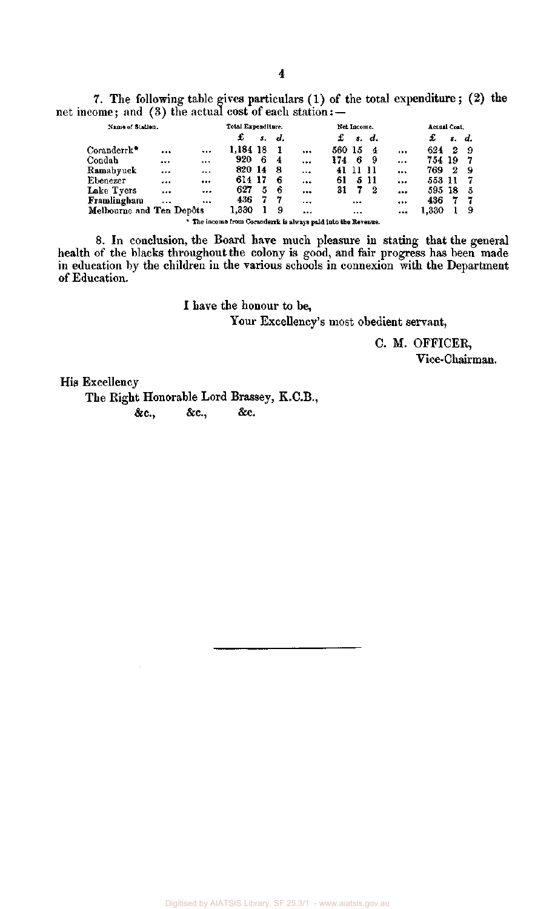7. The following table gives particulars (1) of the total expenditure ; (2) the net income; and (3) the actual cost of each station: —

| Name of Station.         |          |                                                               | Total Expenditure. |    |     |           | Net Income. |          |       |                         | Actual Cost. |    |                   |  |
|--------------------------|----------|---------------------------------------------------------------|--------------------|----|-----|-----------|-------------|----------|-------|-------------------------|--------------|----|-------------------|--|
|                          |          |                                                               | £                  | 5. | d.  |           | £           |          | s. d. |                         | £            | s. | $\boldsymbol{d.}$ |  |
| Coranderrk*              |          |                                                               | 1.184 18           |    | - 1 | $\cdots$  | 560 15      |          | 4     | $\cdots$                | 624          | 2  | -9                |  |
| Condah                   | $\cdots$ |                                                               | 920                | 6  | -4  | $\ddotsc$ | 174         | 6        | - 9   |                         | 754 19       |    | -7                |  |
| Ramahyuck                |          |                                                               | 820 14             |    | -8  | $\cdots$  | 41          | 11       | -11   |                         | 769.         | 2  | -9                |  |
| Ebenezer                 |          |                                                               | 614 17             |    | -6  |           | 61          |          | 511   |                         | 553 11       |    | -7                |  |
| Lake Tyers               |          |                                                               | 627                | 5  | -6  |           | 31          | 7.       | -2    | $\bullet\bullet\bullet$ | 595 18       |    | -5                |  |
| Framlingham              | $\cdots$ |                                                               | 436.               | 7  | -7  | $\cdots$  |             |          |       |                         | 436          |    | -7                |  |
| Melbourne and Ten Depôts |          |                                                               | 1.330              |    | 9   |           |             | $\cdots$ |       |                         | 1,330        |    | 9                 |  |
|                          |          | * The income from Coranderrk is always paid into the Revenue. |                    |    |     |           |             |          |       |                         |              |    |                   |  |

8. In conclusion, the Board have much pleasure in stating that the general health of the blacks throughout the colony is good, and fair progress has been made in education by the children in the various schools in connexion with the Department of Education.

> I have the honour to be, Your Excellency's most obedient servant,

> > C. M. OFFICER, Vice-Chairman.

His Excellency

The Right Honorable Lord Brassey, K.C.B., &c, &c, &c.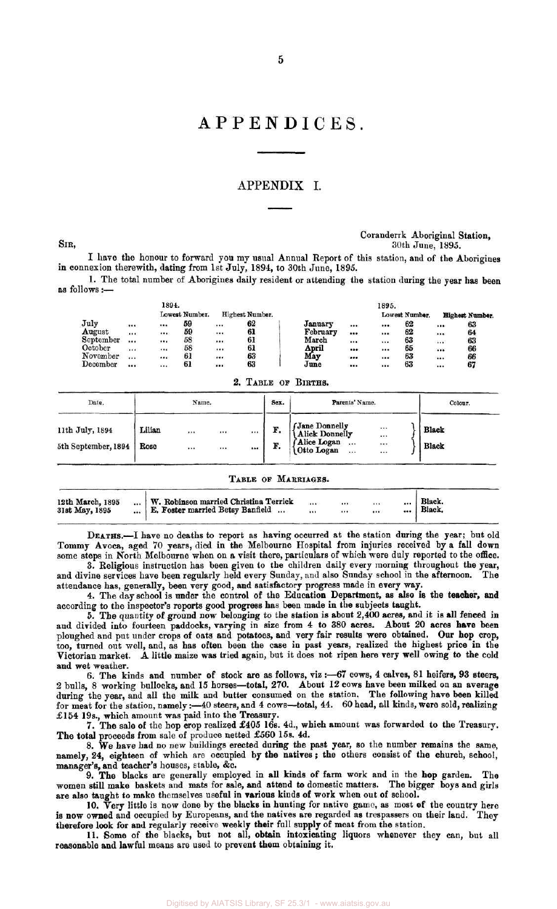### APPENDIX I.

#### Coranderrk Aboriginal Station, SIR, 30th June, 1895.

I have the honour to forward you my usual Annual Report of this station, and of the Aborigines in connexion therewith, dating from 1st July, 1894, to 30th June, 1895.

1. The total number of Aborigines daily resident or attending the station during the year has been as follows:—

|           |          | 1894.    |                |                         |                 |          |                         | 1895. |                |          |                        |
|-----------|----------|----------|----------------|-------------------------|-----------------|----------|-------------------------|-------|----------------|----------|------------------------|
|           |          |          | Lowest Number. |                         | Highest Number. |          |                         |       | Lowest Number. |          | <b>Highest Number.</b> |
| July      | $\cdots$ |          | 59             | $\ldots$                | 62              | January  |                         |       | 62             | $\cdots$ | 63                     |
| August    | $\cdots$ | $\cdots$ | 59             | $$                      | 61              | February | $\bullet\bullet\bullet$ |       | 62             |          | 64                     |
| September |          | $\cdots$ | 58             |                         | 61              | March    | $$                      |       | 63             |          | 63                     |
| October   |          |          | 58             |                         | 61              | April    |                         |       | 65             |          | 66                     |
| November  |          |          | 61             | $$                      | 63              | May      | $\cdots$                |       | 63             | $\cdots$ | 66                     |
| December  |          |          | 61             | $\bullet\bullet\bullet$ | 63              | June     | $$                      |       | 63             | $\cdots$ | 67                     |

#### 2. TABLE OF BIRTHS.

| Date.               | Name.  |  |          |    | Sex. | Parents' Name.                                             | Colour. |
|---------------------|--------|--|----------|----|------|------------------------------------------------------------|---------|
| 11th July, 1894     | Lilian |  | $\cdots$ |    | F.   | (Jane Donnelly<br>  Alick Donnelly<br>$\cdots$<br>$\cdots$ | Black   |
| 5th September, 1894 | Rose   |  | $\cdots$ | $$ | F.   | f Alice Logan<br><br>$\cdots$<br>Otto Logan<br><br>        | Black   |

#### TABLE OF MARRIAGES.

| 12th March, 1895<br>31st May, 1895 | W. Robinson married Christina Terrick<br>  E. Foster married Betsy Banfield. |  | <br> | <br> |  | Black.<br>Black. |  |
|------------------------------------|------------------------------------------------------------------------------|--|------|------|--|------------------|--|
|------------------------------------|------------------------------------------------------------------------------|--|------|------|--|------------------|--|

DEATHS.—I have no deaths to report as having occurred at the station during the year; but old Tommy Avoca, aged 70 years, died in the Melbourne Hospital from injuries received by a fall down some steps in North Melbourne when on a visit there, particulars of which were duly reported to the office.

3. Religious instruction has been given to the children daily every morning throughout the year, and divine services have been regularly held every Sunday, and also Sunday school in the afternoon. The attendance has, generally, been very good, and satisfactory progress made in every way.

4. The day school is under the control of the Education Department, as also is the teacher, and according to the inspector's reports good progress has been made in the subjects taught.

5. The quantity of ground now belonging to the station is about 2,400 acres, and it is all fenced in and divided into fourteen paddocks, varying in size from 4 to 380 acres. About 20 acres have been ploughed and put under crops of oats and potatoes, and very fair results were obtained. Our hop crop, too, turned out well, and, as has often been the case in past years, realized the highest price in the Victorian market. A little maize was tried again, but it does not ripen here very well owing to the cold and wet weather.

6. The kinds and number of stock are as follows, viz :—67 cows, 4 calves, 81 heifers, 93 steers, 2 bulls, 8 working bullocks, and 15 horses—total, 270. About 12 cows have been milked on an average during the year, and all the milk and butter consumed on the station. The following have been killed for meat for the station, namely:—40 steers, and 4 cows—total, 44. 60 head, all kinds, were sold, realizing £154 19s., which amount was paid into the Treasury.

7. The sale of the hop crop realized £405 16s. 4d., which amount was forwarded to the Treasury. The total proceeds from sale of produce netted £560 15s. 4d.

8. We have had no new buildings erected during the past year, so the number remains the same, namely, 24, eighteen of which are occupied by the natives; the others consist of the church, school, manager's, and teacher's houses, stable, &c.

9. The blacks are generally employed in all kinds of farm work and in the hop garden. The women still make baskets and mats for sale, and attend to domestic matters. The bigger boys and girls are also taught to make themselves useful in various kinds of work when out of school.

10. Very little is now done by the blacks in hunting for native game, as most of the country here is now owned and occupied by Europeans, and the natives are regarded as trespassers on their land. They therefore look for and regularly receive weekly their full supply of meat from the station.

11. Some of the blacks, but not all, obtain intoxicating liquors whenever they can, but all reasonable and lawful means are used to prevent them obtaining it.

Digitised by AIATSIS Library, SF 25.3/1 - www.aiatsis.gov.au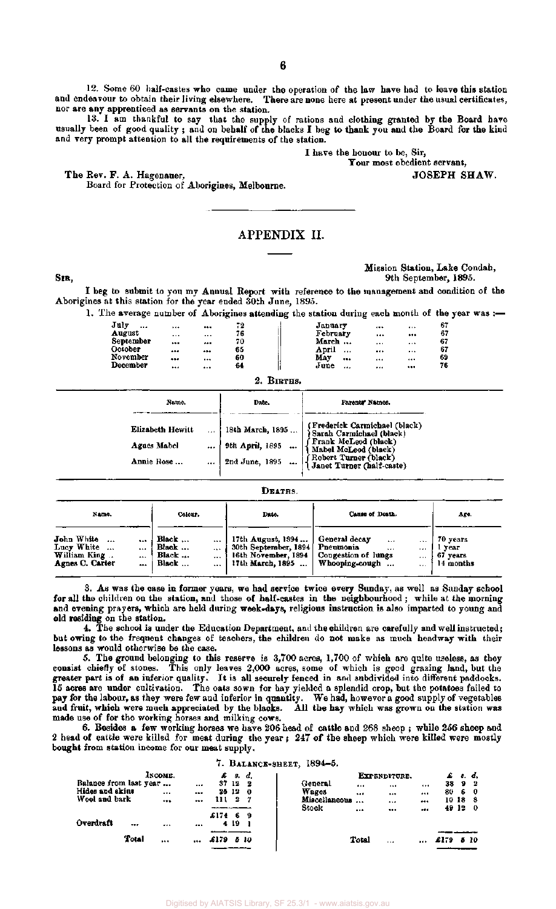12. Some 60 half-castes who came under the operation of the law have had to leave this station and endeavour to obtain their living elsewhere. There are none here at present under the usual certificates, nor are any apprenticed as servants on the station.

13. I am thankful to say that the supply of rations and clothing granted by the Board have usually been of good quality ; and on behalf of the blacks I beg to thank you and the Board for the kind and very prompt attention to all the requirements of the station.

> I have the honour to be, Sir, Your most obedient servant,

The Rev. F. A. Hagenauer,  $JOSEPH$  SHAW.

Board for Protection of Aborigines, Melbourne.

# APPENDIX II.

SIB,

Mission Station, Lake Condah, 9th September, 1895.

I beg to submit to you my Annual Report with reference to the management and condition of the Aborigines at this station for the year ended 30th June, 1895.

1. The average number of Aborigines attending the station during each month of the year was :-

|                  |          |          |     | ~     |          |          |   |    |
|------------------|----------|----------|-----|-------|----------|----------|---|----|
| July<br>$\cdots$ | $***$    |          | - 2 |       | January  | $\cdots$ |   | 67 |
| August           | $\cdots$ | $\cdots$ | 76  |       | February |          |   | 67 |
| September        | $\cdots$ | $\cdots$ | 70  |       | March    |          | . | 67 |
| October          |          | $\cdots$ | 65  | April |          |          |   | 67 |
| November         |          |          | 60  | May   |          |          |   | 69 |
| December         |          | $\cdots$ | 64  | June  |          |          |   | 76 |
|                  |          |          |     |       |          |          |   |    |

2. BIRTHS.

| Name.                                         | Date.                                                 | Parents' Names.                                                                                                                                                 |
|-----------------------------------------------|-------------------------------------------------------|-----------------------------------------------------------------------------------------------------------------------------------------------------------------|
| Elizabeth Hewitt<br>Agues Mabel<br>Annie Rose | 18th March, 1895<br>9th April, 1895<br>2nd June, 1895 | (Frederick Carmichael (black)<br>Sarah Carmichael (black)<br>Frank McLeod (black)<br>Mabel McLeod (black)<br>Robert Turner (black)<br>Janet Turner (half-caste) |

DEATHS.

| Name.                                                                         |                      | Colour.                                  |                               | Date.                                                                                                                    | Cause of Death.                                 |                                      | Age.                                        |
|-------------------------------------------------------------------------------|----------------------|------------------------------------------|-------------------------------|--------------------------------------------------------------------------------------------------------------------------|-------------------------------------------------|--------------------------------------|---------------------------------------------|
| John White<br>$\overline{a}$<br>Lucy White<br>William King<br>Agnes C. Carter | $\cdots$<br><br><br> | Black<br>Black<br>Black<br>Black $\dots$ | $-11$<br>$\cdots$<br>$\cdots$ | 17th August, 1894<br>30th September, 1894   Pneumonia<br>16th November, 1894   Congestion of lungs<br>  17th March, 1895 | General decay<br>$\cdots$<br><br>Whooping-cough | $\cdots$<br><br>$\cdots$<br>$\cdots$ | 70 years<br>l year<br>67 years<br>14 months |

3. As was the case in former years, we had service twice every Sunday, as well as Sunday school for all the children on the station, and those of half-castes in the neighbourhood ; while at the morning and evening prayers, which are held during week-days, religious instruction is also imparted to young and old residing on the station.

4. The school is under the Education Department, and the children are carefully and well instructed; but owing to the frequent changes of teachers, the children do not make as much headway with their lessons as would otherwise be the case.

5. The ground belonging to this reserve is 3,700 acres, 1,700 of which are quite useless, as they consist chiefly of stones. This only leaves 2,000 acres, some of which is good grazing land, but the greater part is of an inferior quality. It is all securely fenced in and subdivided into different paddocks. 15 acres are under cultivation. The oats sown for hay yielded a splendid crop, but the potatoes failed to pay for the labour, as they were few and inferior in quantity. We had, however a good supply of vegetables and fruit, which were much appreciated by the blacks. All the hay which was grown on the station was made use of for the working horses and milking cows.

6. Besides a few working horses we have 206 head of cattle and 268 sheep ; while 256 sheep and 2 head of cattle were killed for meat during the year ; 247 of the sheep which were killed were mostly bought from station income for our meat supply.

#### 7. BALANCE-SHEET, 1894—5.

|                        | Іхсоми.  |          | $\mathcal{L}$ s.d. |             |               |          | EXPENDITURE. |          | $E$ s.d. |      |
|------------------------|----------|----------|--------------------|-------------|---------------|----------|--------------|----------|----------|------|
| Balance from last year |          | $\cdots$ | 37<br>12           | -2          | General       | $\cdots$ |              |          | 38 9     | -2   |
| Hides and skins        | $\cdots$ | $\cdots$ | 25 12              | $\mathbf o$ | Wages         |          |              | <br>80   | 60       |      |
| Wool and bark          |          |          | 2<br>11 1          |             | Miscellaneous |          |              |          | 10 18 8  |      |
|                        |          |          |                    |             | Stock         | $\cdots$ |              |          | 49 12 0  |      |
|                        |          |          | £174<br>6          | 9           |               |          |              |          |          |      |
| Overdraft<br>          | $\cdots$ |          | 419                |             |               |          |              |          |          |      |
|                        |          |          |                    |             |               |          |              |          |          |      |
| Total                  |          |          | £179.              | -5-10       |               | Total    | 1.14         | <br>£179 |          | 5 10 |
|                        |          |          |                    |             |               |          |              |          |          |      |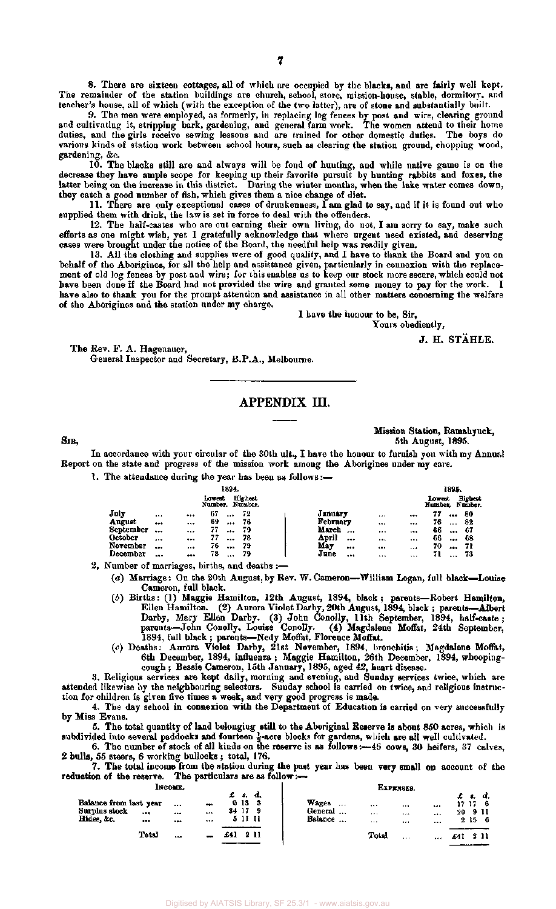8. There are sixteen cottages, all of which are occupied by the blacks, and are fairly well kept. The remainder of the station buildings are church, school, store, mission-house, stable, dormitory, and teacher's house, all of which (with the exception of the two latter), are of stone and substantially built.

9. The men were employed, as formerly, in replacing log fences by post and wire, clearing ground and cultivating it, stripping bark, gardening, and general farm work. The women attend to their home duties, and the girls receive sewing lessons and are trained for other domestic duties. The boys do various kinds of station work between school hours, such as clearing the station ground, chopping wood, gardening, &c.

10. The blacks still are and always will be fond of hunting, and while native game is on the decrease they have ample scope for keeping up their favorite pursuit by hunting rabbits and foxes, the latter being on the increase in this district. During the winter months, when the lake water comes down, they catch a good number of fish, which gives them a nice change of diet.

11. There are only exceptional cases of drunkenness, 1 am glad to say, and if it is found out who supplied them with drink, the law is set in force to deal with the offenders.

12. The half-castes who are out earning their own living, do not, I am sorry to say, make such efforts as one might wish, yet I gratefully acknowledge that where urgent need existed, and deserving cases were brought under the notice of the Board, the needful help was readily given.

13. All the clothing and supplies were of good quality, and I have to thank the Board and you on behalf of the Aborigines, for all the help and assistance given, particularly in connexion with the replacement of old log fences by post and wire; for this enables us to keep our stock more secure, which could not have been done if the Board had not provided the wire and granted some money to pay for the work. I have also to thank you for the prompt attention and assistance in all other matters concerning the welfare of the Aborigines and the station under my charge.

I have the honour to be, Sir,

Tours obediently,

J. H. STAHLE.

The Rev. F. A. Hagenauer, General Inspector and Secretary, B.P.A., Melbourne.

## APPENDIX III.

Mission Station, Ramahyuck, SIR, 5th August, 1895.

In accordance with your circular of the 30th ult., I have the honour to furnish you with my Annual Report on the state and progress of the mission work among the Aborigines under my care.

1. The attendance during the year has been as follows:—

|           |          |          |                    | 1894. |                    |          |       |          |          |                   | 1895.    |                           |
|-----------|----------|----------|--------------------|-------|--------------------|----------|-------|----------|----------|-------------------|----------|---------------------------|
|           |          |          | Lowent<br>Number . |       | Highest<br>Number. |          |       |          |          | Lowest<br>Number. |          | <b>Highest</b><br>Number. |
| July      |          |          | 67                 |       | 72                 | January  |       |          |          | 77                |          | 80                        |
| August    | $$       |          | 69                 |       | 76                 | February |       |          |          | 76                | $\cdots$ | 32                        |
| September |          |          | 77                 |       | 79                 | March    | $- +$ |          |          | 66                |          | -67                       |
| October   | $\cdots$ |          | 77                 |       | 78                 | April    |       | $\cdots$ |          | 66                | $$       | 68                        |
| November  |          | $\cdots$ | 76                 |       | 79                 | May      |       |          |          | 70                | $\cdots$ | -71                       |
| December  |          |          | 78                 |       | 79                 | June     |       |          | $\cdots$ | 71                |          | 73                        |

2. Number of marriages, births, and deaths :—

(a) Marriage: On the 20th August, by Rev. W. Cameron—William Logan, full black—Louise Cameron, full black.

- (6) Births: (1) Maggie Hamilton, 12th August, 1894, black; parents—Robert Hamilton, Ellen Hamilton. (2) Aurora Violet Darby, 20th August, 1894, black ; parents—Albert Darby, Mary Ellen Darby. (3) John Conolly, 11th September, 1894, half-caste; parents—John Conolly, Louise Conolly. (4) Magdalene Moffat, 24th September, 1894, full black ; parents—Nedy Moffat, Florence Moffat.
- (c) Deaths: Aurora Violet Darby, 21st November, 1894, bronchitis ; Magdalene Moffat, 6th December, 1894, influenza; Maggie Hamilton, 26th December, 1894, whoopingcough ; Bessie Cameron, 15th January, 1895, aged 42, heart disease.

3. Religious services are kept daily, morning and evening, and Sunday services twice, which are attended likewise by the neighbouring selectors. Sunday school is carried on twice, and religious instruction for children is given five times a week, and very good progress is made.

4. The day school in connexion with the Department of Education is carried on very successfully by Miss Evans.

5. The total quantity of land belonging still to the Aboriginal Reserve is about 850 acres, which is subdivided into several paddocks and fourteen  $\frac{1}{2}$ -acre blocks for gardens, which are all well cultivated.

6. The number of stock of all kinds on the reserve is as follows:—46 cows, 30 heifers, 37 calves, 2 bulls, 55 steers, 6 working bullocks ; total, 176.

7. The total income from the station during the past year has been very small on account of the reduction of the reserve. The particulars are as follow:-

|--|

|                                                       |        | INCO <b>ME.</b> |                                 |    |                              |      | <b>EXPENSES.</b>                                                                               |             |               |  |
|-------------------------------------------------------|--------|-----------------|---------------------------------|----|------------------------------|------|------------------------------------------------------------------------------------------------|-------------|---------------|--|
| Balance from last year<br>Surplus stock<br>Hides, &c. | <br>$$ | <br><br>--      | $\bullet\bullet\bullet$<br><br> | 34 | s.<br>0133<br>-17<br>5 11 11 | ₫.   | <br>$***$<br>$\cdots$<br><br>General<br>$+ + +$<br>$\cdots$<br><br>Balance<br><br><br>$\cdots$ | 17 17<br>20 | -9 II<br>2156 |  |
|                                                       | Total  | <b>PM</b>       |                                 |    |                              | 2 11 | Total<br>$\cdots$<br>                                                                          | £41         | 2 11          |  |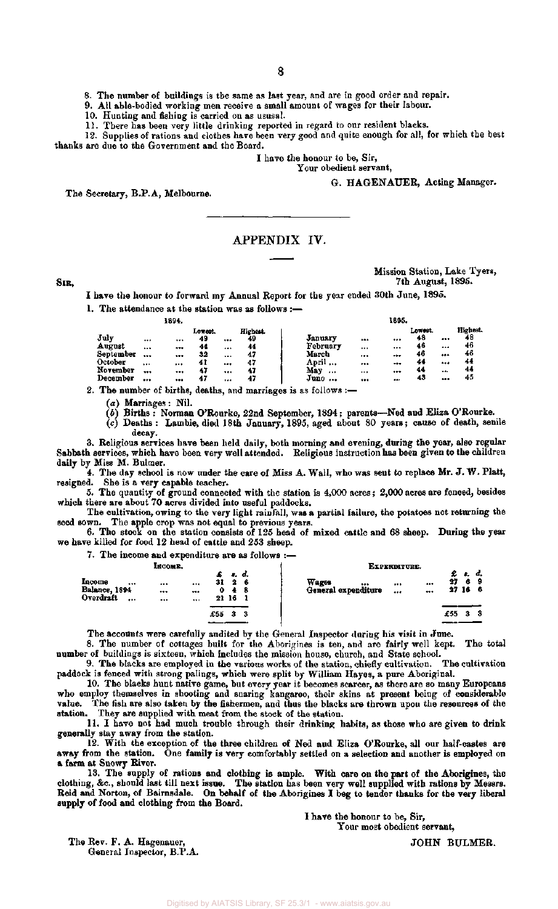8. The number of buildings is the same as last year, and are in good order and repair.

9. All able-bodied working men receive a small amount of wages for their labour.

10. Hunting and fishing is carried on as ususal.

11. There has been very little drinking reported in regard to our resident blacks.

12. Supplies of rations and clothes have been very good and quite enough for all, for which the best thanks are due to the Government and the Board.

I have the honour to be, Sir,

Your obedient servant,

G. HAGENAUER, Acting Manager.

The Secretary, B.P.A, Melbourne.

## APPENDIX IV.

**SIR,** 

Mission Station, Lake Tyers, 7th August, 1895.

I have the honour to forward my Annual Report for the year ended 30th June, 1895.

1. The attendance at the station was as follows :—

|                |          | 1894.        |                     |          |                      |                     |           | 1895. |                     |          |                     |
|----------------|----------|--------------|---------------------|----------|----------------------|---------------------|-----------|-------|---------------------|----------|---------------------|
| July<br>August | <br>     | <br>$\cdots$ | Lowest.<br>49<br>44 | <br>1.11 | Highest.<br>49<br>44 | January<br>February |           | <br>  | Lowest.<br>48<br>46 | <br>     | Highest<br>48<br>46 |
| September      |          |              | 32                  | $\cdots$ | 47                   | March               | $***$<br> |       | 46                  | $\cdots$ | 46                  |
| October        | $\cdots$ |              | 41                  |          | 47                   | April               |           | $***$ |                     |          | 44                  |
| November       |          |              | 47                  |          | 47                   | May<br>             | $\cdots$  |       | 44                  |          | 44                  |
| December       |          | $\cdots$     | 47                  | $1 + 4$  | 47                   | June<br>            |           |       |                     |          | 45                  |

2. The number of births, deaths, and marriages is as follows :—

(a) Marriages: Nil.

(6) Births : Norman O'Rourke, 22nd September, 1894; parents—Ned and Eliza O'Rourke.

(c) Deaths : Lambie, died 18th January, 1895, aged about 80 years; cause of death, senile decay.

3. Religious services have been held daily, both morning and evening, during the year, also regular Sabbath services, which have been very well attended. Religious instruction has been given to the children daily by Miss M. Bulmer.

4. The day school is now under the care of Miss A. Wall, who was sent to replace Mr. J. W. Platt, resigned. She is a very capable teacher.

5. The quantity of ground connected with the station is 4,000 acres; 2,000 acres are fenced, besides which there are about 70 acres divided into useful paddocks.

The cultivation, owing to the very light rainfall, was a partial failure, the potatoes not returning the seed sown. The apple crop was not equal to previous years.

6. The stock on the station consists of 125 head of mixed cattle and 68 sheep. During the year we have killed for food 12 head of cattle and 253 sheep.

7. The income and expenditure are as follows :—

|                                              | INCOME.                                                                               | EXPENDITURE.                               |                                                      |
|----------------------------------------------|---------------------------------------------------------------------------------------|--------------------------------------------|------------------------------------------------------|
| Income<br><br>Balance, 1894<br>Overdraft<br> | r. d.<br>31<br>-2<br>- 6<br><br>$-0.5$<br>0<br>48<br><br>$\cdots$<br>21 16<br>$- - -$ | Wages<br><br>$$<br>General expenditure<br> | £ t.<br>d.<br>27<br>6<br>- 9<br><br>27 16<br>- 6<br> |
|                                              | £55<br>з<br>з                                                                         |                                            | £55<br>3<br>я                                        |
|                                              |                                                                                       |                                            |                                                      |

The accounts were carefully audited by the General Inspector during his visit in June.

8. The number of cottages built for the Aborigines is ten, and are fairly well kept. The total number of buildings is sixteen, which includes the mission house, church, and State school.

9. The blacks are employed in the various works of the station, chiefly cultivation. The cultivation paddock is fenced with strong palings, which were split by William Hayes, a pure Aboriginal.

10. The blacks hunt native game, but every year it becomes scarcer, as there are so many Europeans who employ themselves in shooting and snaring kangaroo, their skins at present being of considerable value. The fish are also taken by the fishermen, and thus the blacks are thrown upon the resources of the station. They are supplied with meat from the stock of the station.

11. I have not had much trouble through their drinking habits, as those who are given to drink generally stay away from the station.

12. With the exception of the three children of Ned and Eliza O'Rourke, all our half-castes are away from the station. One family is very comfortably settled on a selection and another is employed on a farm at Snowy River.

13. The supply of rations and clothing is ample. With care on the part of the Aborigines, the clothing, &c , should last till next issue. The station has been very well supplied with rations by Messrs. Reid and Norton, of Bairnsdale. On behalf of the Aborigines I beg to tender thanks for the very liberal supply of food and clothing from the Board.

I have the honour to be, Sir,

Your most obedient servant,

The Rev. F. A. Hagenauer, General Inspector, B.P.A.

JOHN BULMER.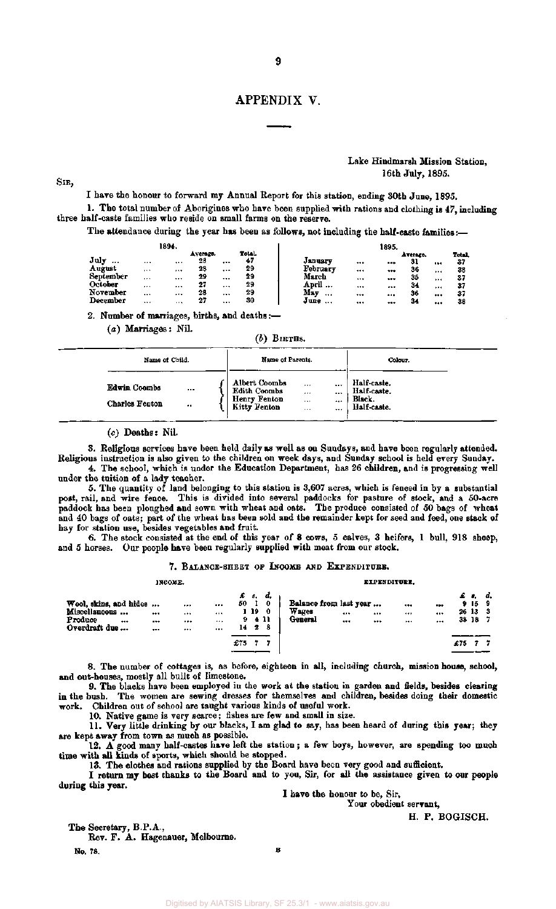## APPENDIX V.

SIB,

#### Lake Hindmarsh Mission Station, 16th July, 1895.

I have the honour to forward my Annual Report for this station, ending 30th June, 1895.

1. The total number of Aborigines who have been supplied with rations and clothing is 47, including three half-caste families who reside on small farms on the reserve.

The attendance during the year has been as follows, not including the half-caste families:-

|            |                      | 1894.       |                |              |             |          |         | 1895. |                |              |
|------------|----------------------|-------------|----------------|--------------|-------------|----------|---------|-------|----------------|--------------|
| July       |                      |             | Average.<br>28 |              | Total<br>47 | January  |         |       | Average.<br>31 | <b>Total</b> |
| <br>August | $\cdots$<br>$\cdots$ | $- - 4$<br> | 28             | <br>$\cdots$ | 29          | February | <br>    | <br>  | 36             | <br>37<br>38 |
| September  |                      |             | 29             |              | 29          | March    | $+ - +$ | $$    | 35             | <br><br>37   |
| October    |                      |             | 27             |              | 29          | April    |         |       | 34             | <br>37       |
| November   |                      |             | 28             |              | 29          | May<br>  |         |       | 36             | <br>37       |
| December   |                      | $\cdots$    | 27             |              | 30          | June     |         |       | 34             | <br>38       |

2. Number of marriages, births, and deaths:—

(a) Marriages: Nil.

 $(b)$  BIRTHS.

| Name of Child.                                                            | Name of Parents.                                                            |                                           | ----<br>Colour. |                                                     |
|---------------------------------------------------------------------------|-----------------------------------------------------------------------------|-------------------------------------------|-----------------|-----------------------------------------------------|
| Edwin Coombs<br>$\cdots$<br><b>Charles Fenton</b><br>$\ddot{\phantom{0}}$ | <b>Albert Coombs</b><br>Edith Coombs<br><b>Henry Fenton</b><br>Kitty Fenton | <br><br>$***$<br><br><br><br><br>$\cdots$ |                 | Half-caste.<br>Half-caste.<br>Black.<br>Half-caste. |

*(c)* Deaths: Nil.

3. Religious services have been held daily as well as on Sundays, and have been regularly attended. Religious instruction is also given to the children on week days, and Sunday school is held every Sunday.

4. The school, which is under the Education Department, has 26 children, and is progressing well under the tuition of a lady teacher.

5. The quantity of land belonging to this station is 3,607 acres, which is fenced in by a substantial post, rail, and wire fence. This is divided into several paddocks for pasture of stock, and a 50-acre paddock has been ploughed and sown with wheat and oats. The produce consisted of 50 bags of wheat and 40 bags of oats; part of the wheat has been sold and the remainder kept for seed and feed, one stack of hay for station use, besides vegetables and fruit.

6. The stock consisted at the end of this year of 8 cows, 5 calves, 3 heifers, 1 bull, 918 sheep, and 5 horses. Our people have been regularly supplied with meat from our stock.

#### 7. BALANCE-SHEET OF INCOME AND EXPENDITURE.

**INCOME. EXPENDITURE.** 

| Wool, skins, and hides<br>Miscellaneous<br>Produce<br><br>Overdraft due | <br><br>$- - -$ | <br><br><br><br>$\cdots$<br><br>$\cdots$<br> | £ s.<br>50<br>9.<br>14 | 19 | d,<br>0<br>0<br>-411<br>28 | Balance from last year<br>Wages<br>General | <br> | <br><br>$***$<br><br> | $\cdots$<br><br> | £.  | 9159<br>26133<br>38 18 7 | d. |
|-------------------------------------------------------------------------|-----------------|----------------------------------------------|------------------------|----|----------------------------|--------------------------------------------|------|-----------------------|------------------|-----|--------------------------|----|
|                                                                         |                 |                                              |                        |    |                            |                                            |      |                       |                  |     |                          |    |
|                                                                         |                 |                                              | £75                    |    |                            |                                            |      |                       |                  | £75 |                          |    |
|                                                                         |                 |                                              |                        |    |                            |                                            |      |                       |                  |     |                          |    |

8. The number of cottages is, as before, eighteen in all, including church, mission house, school, and out-houses, mostly all built of limestone.

9. The blacks have been employed in the work at the station in garden and fields, besides clearing in the bush. The women are sewing dresses for themselves and children, besides doing their domestic work. Children out of school are taught various kinds of useful work.

10. Native game is very scarce; fishes are few and small in size.

11. Very little drinking by our blacks, I am glad to say, has been heard of during this year; they are kept away from town as much as possible.

12. A good many half-castes have left the station; a few boys, however, are spending too much time with all kinds of sports, which should be stopped.

13. The clothes and rations supplied by the Board have been very good and sufficient.

I return my best thanks to the Board and to you, Sir, for all the assistance given to our people during this year.

I have the honour to be, Sir,

Your obedient servant,

H. P. BOGISCH.

The Secretary, B.P.A., Rev. F. A. Hagenauer, Melbourne.

No. 78. **B**